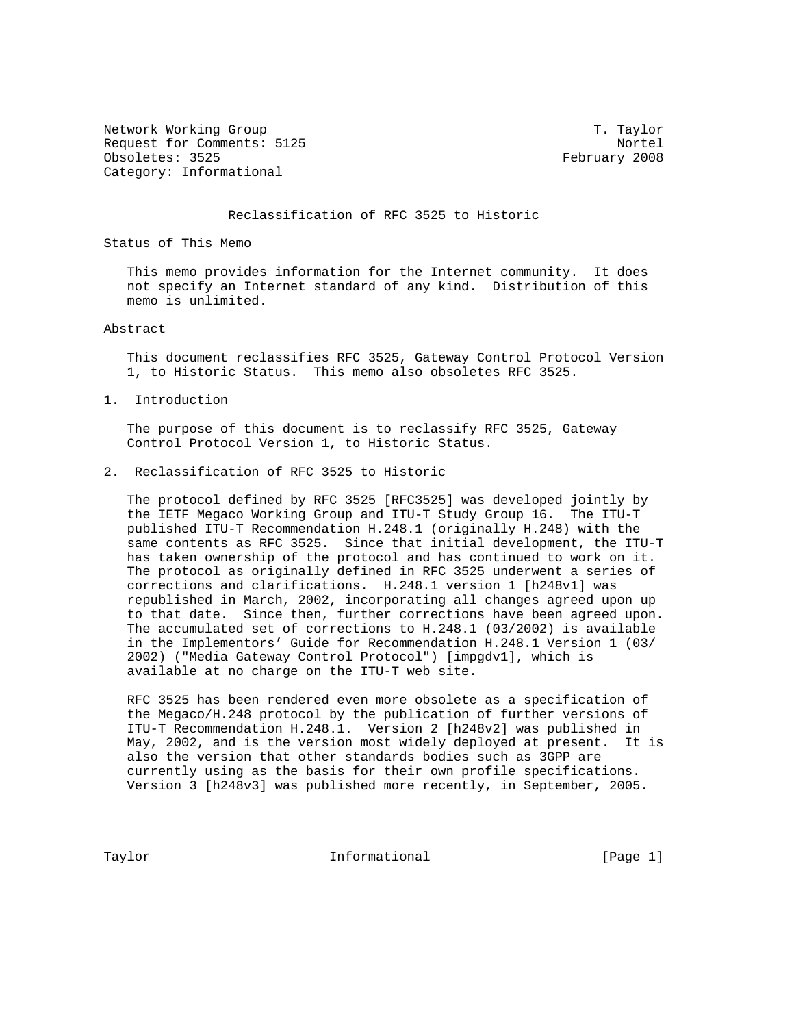Network Working Group T. Taylor Request for Comments: 5125 Nortel Obsoletes: 3525 February 2008 Category: Informational

## Reclassification of RFC 3525 to Historic

Status of This Memo

 This memo provides information for the Internet community. It does not specify an Internet standard of any kind. Distribution of this memo is unlimited.

## Abstract

 This document reclassifies RFC 3525, Gateway Control Protocol Version 1, to Historic Status. This memo also obsoletes RFC 3525.

1. Introduction

 The purpose of this document is to reclassify RFC 3525, Gateway Control Protocol Version 1, to Historic Status.

2. Reclassification of RFC 3525 to Historic

 The protocol defined by RFC 3525 [RFC3525] was developed jointly by the IETF Megaco Working Group and ITU-T Study Group 16. The ITU-T published ITU-T Recommendation H.248.1 (originally H.248) with the same contents as RFC 3525. Since that initial development, the ITU-T has taken ownership of the protocol and has continued to work on it. The protocol as originally defined in RFC 3525 underwent a series of corrections and clarifications. H.248.1 version 1 [h248v1] was republished in March, 2002, incorporating all changes agreed upon up to that date. Since then, further corrections have been agreed upon. The accumulated set of corrections to H.248.1 (03/2002) is available in the Implementors' Guide for Recommendation H.248.1 Version 1 (03/ 2002) ("Media Gateway Control Protocol") [impgdv1], which is available at no charge on the ITU-T web site.

 RFC 3525 has been rendered even more obsolete as a specification of the Megaco/H.248 protocol by the publication of further versions of ITU-T Recommendation H.248.1. Version 2 [h248v2] was published in May, 2002, and is the version most widely deployed at present. It is also the version that other standards bodies such as 3GPP are currently using as the basis for their own profile specifications. Version 3 [h248v3] was published more recently, in September, 2005.

Taylor **Informational Informational** [Page 1]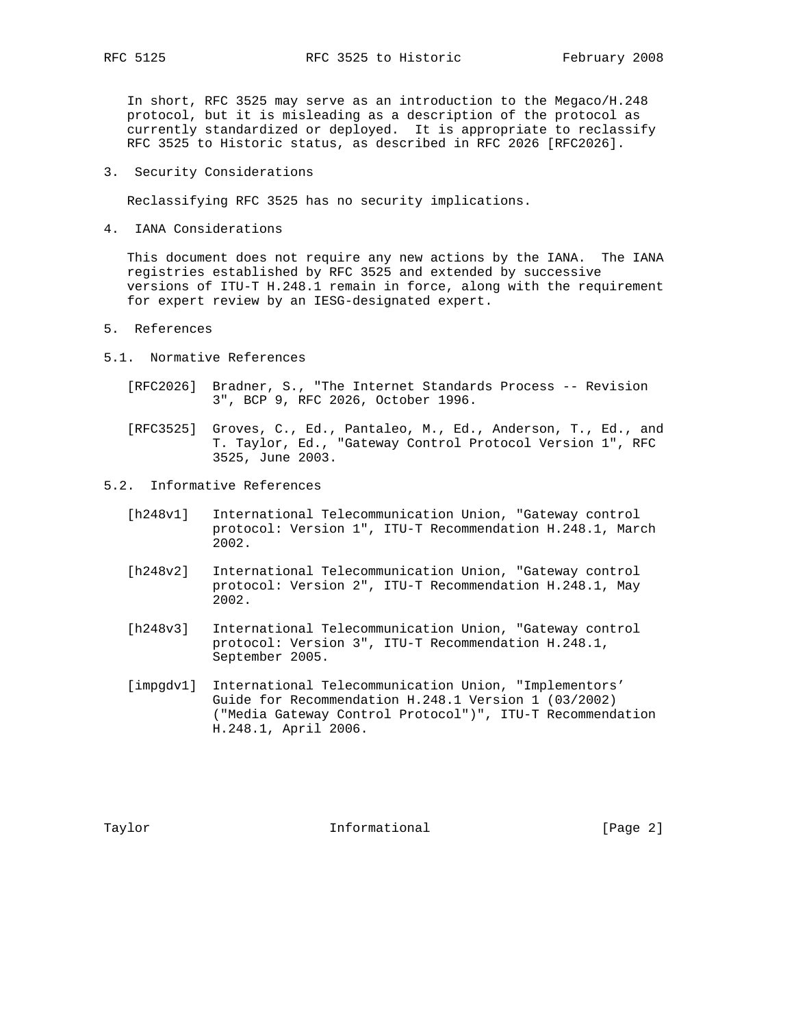In short, RFC 3525 may serve as an introduction to the Megaco/H.248 protocol, but it is misleading as a description of the protocol as -<br>currently standardized or deployed. It is appropriate to reclassify RFC 3525 to Historic status, as described in RFC 2026 [RFC2026].

3. Security Considerations

Reclassifying RFC 3525 has no security implications.

4. IANA Considerations

 This document does not require any new actions by the IANA. The IANA registries established by RFC 3525 and extended by successive versions of ITU-T H.248.1 remain in force, along with the requirement for expert review by an IESG-designated expert.

- 5. References
- 5.1. Normative References
	- [RFC2026] Bradner, S., "The Internet Standards Process -- Revision 3", BCP 9, RFC 2026, October 1996.
	- [RFC3525] Groves, C., Ed., Pantaleo, M., Ed., Anderson, T., Ed., and T. Taylor, Ed., "Gateway Control Protocol Version 1", RFC 3525, June 2003.
- 5.2. Informative References
	- [h248v1] International Telecommunication Union, "Gateway control protocol: Version 1", ITU-T Recommendation H.248.1, March 2002.
	- [h248v2] International Telecommunication Union, "Gateway control protocol: Version 2", ITU-T Recommendation H.248.1, May 2002.
	- [h248v3] International Telecommunication Union, "Gateway control protocol: Version 3", ITU-T Recommendation H.248.1, September 2005.
	- [impgdv1] International Telecommunication Union, "Implementors' Guide for Recommendation H.248.1 Version 1 (03/2002) ("Media Gateway Control Protocol")", ITU-T Recommendation H.248.1, April 2006.

Taylor **Informational Informational** [Page 2]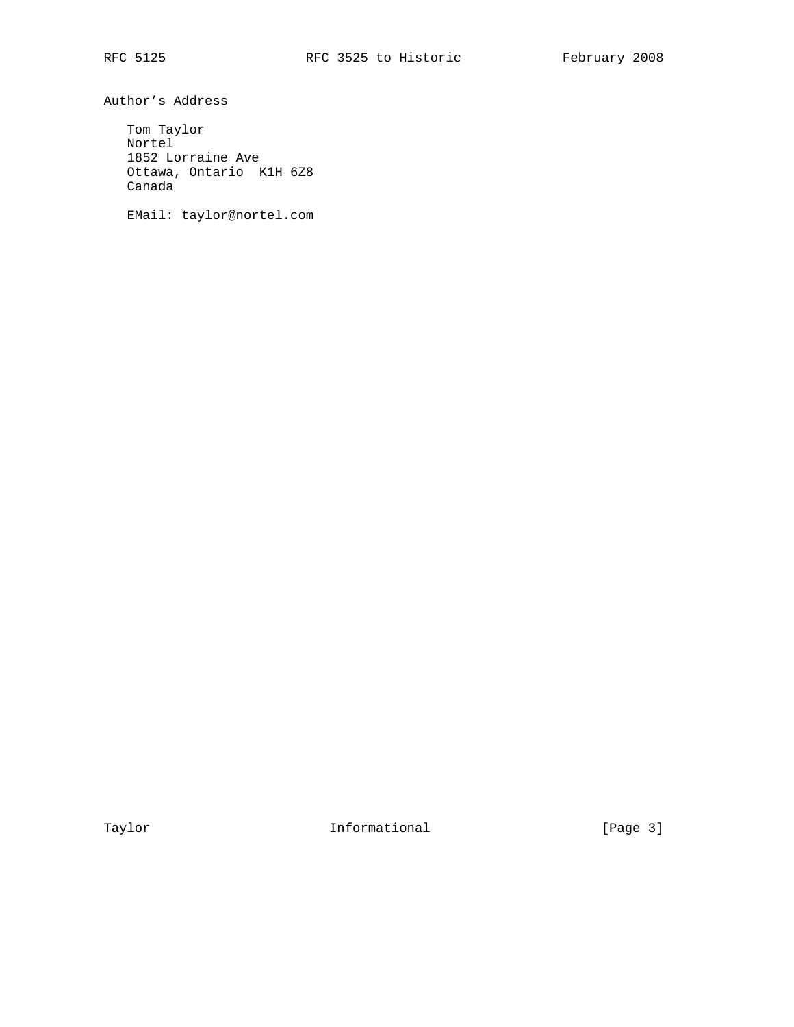Author's Address

 Tom Taylor Nortel 1852 Lorraine Ave Ottawa, Ontario K1H 6Z8 Canada

EMail: taylor@nortel.com

Taylor **Informational Informational** [Page 3]